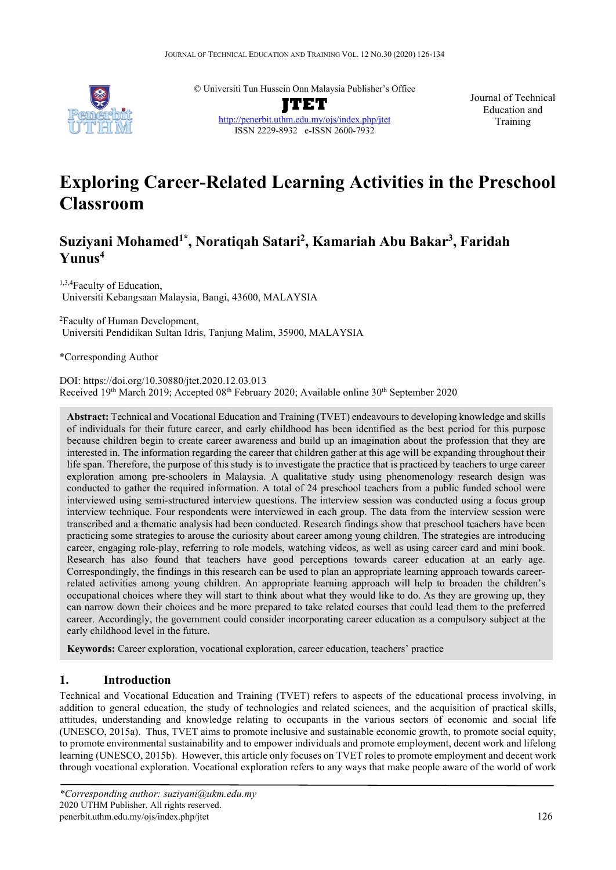

© Universiti Tun Hussein Onn Malaysia Publisher's Office

**JTET** <http://penerbit.uthm.edu.my/ojs/index.php/jtet> ISSN 2229-8932 e-ISSN 2600-7932

Journal of Technical Education and Training

# **Exploring Career-Related Learning Activities in the Preschool Classroom**

## **Suziyani Mohamed1\*, Noratiqah Satari2 , Kamariah Abu Bakar3 , Faridah Yunus4**

1,3,4Faculty of Education, Universiti Kebangsaan Malaysia, Bangi, 43600, MALAYSIA

<sup>2</sup> Faculty of Human Development, Universiti Pendidikan Sultan Idris, Tanjung Malim, 35900, MALAYSIA

\*Corresponding Author

DOI: https://doi.org/10.30880/jtet.2020.12.03.013 Received  $19<sup>th</sup>$  March 2019; Accepted  $08<sup>th</sup>$  February 2020; Available online  $30<sup>th</sup>$  September 2020

**Abstract:** Technical and Vocational Education and Training (TVET) endeavours to developing knowledge and skills of individuals for their future career, and early childhood has been identified as the best period for this purpose because children begin to create career awareness and build up an imagination about the profession that they are interested in. The information regarding the career that children gather at this age will be expanding throughout their life span. Therefore, the purpose of this study is to investigate the practice that is practiced by teachers to urge career exploration among pre-schoolers in Malaysia. A qualitative study using phenomenology research design was conducted to gather the required information. A total of 24 preschool teachers from a public funded school were interviewed using semi-structured interview questions. The interview session was conducted using a focus group interview technique. Four respondents were interviewed in each group. The data from the interview session were transcribed and a thematic analysis had been conducted. Research findings show that preschool teachers have been practicing some strategies to arouse the curiosity about career among young children. The strategies are introducing career, engaging role-play, referring to role models, watching videos, as well as using career card and mini book. Research has also found that teachers have good perceptions towards career education at an early age. Correspondingly, the findings in this research can be used to plan an appropriate learning approach towards careerrelated activities among young children. An appropriate learning approach will help to broaden the children's occupational choices where they will start to think about what they would like to do. As they are growing up, they can narrow down their choices and be more prepared to take related courses that could lead them to the preferred career. Accordingly, the government could consider incorporating career education as a compulsory subject at the early childhood level in the future.

**Keywords:** Career exploration, vocational exploration, career education, teachers' practice

## **1. Introduction**

Technical and Vocational Education and Training (TVET) refers to aspects of the educational process involving, in addition to general education, the study of technologies and related sciences, and the acquisition of practical skills, attitudes, understanding and knowledge relating to occupants in the various sectors of economic and social life (UNESCO, 2015a). Thus, TVET aims to promote inclusive and sustainable economic growth, to promote social equity, to promote environmental sustainability and to empower individuals and promote employment, decent work and lifelong learning (UNESCO, 2015b). However, this article only focuses on TVET roles to promote employment and decent work through vocational exploration. Vocational exploration refers to any ways that make people aware of the world of work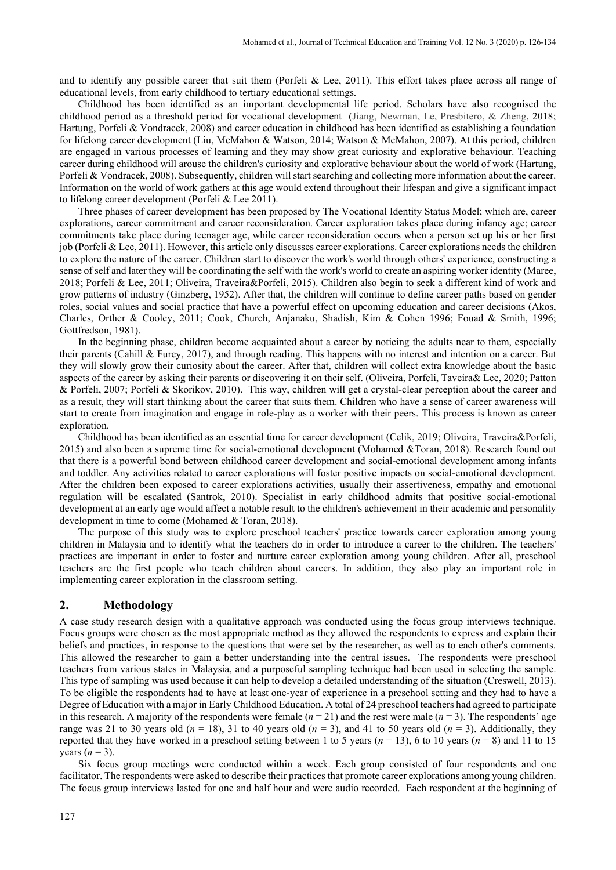and to identify any possible career that suit them (Porfeli & Lee, 2011). This effort takes place across all range of educational levels, from early childhood to tertiary educational settings.

Childhood has been identified as an important developmental life period. Scholars have also recognised the childhood period as a threshold period for vocational development (Jiang, Newman, Le, Presbitero, & Zheng, 2018; Hartung, Porfeli & Vondracek, 2008) and career education in childhood has been identified as establishing a foundation for lifelong career development (Liu, McMahon & Watson, 2014; Watson & McMahon, 2007). At this period, children are engaged in various processes of learning and they may show great curiosity and explorative behaviour. Teaching career during childhood will arouse the children's curiosity and explorative behaviour about the world of work (Hartung, Porfeli & Vondracek, 2008). Subsequently, children will start searching and collecting more information about the career. Information on the world of work gathers at this age would extend throughout their lifespan and give a significant impact to lifelong career development (Porfeli & Lee 2011).

Three phases of career development has been proposed by The Vocational Identity Status Model; which are, career explorations, career commitment and career reconsideration. Career exploration takes place during infancy age; career commitments take place during teenager age, while career reconsideration occurs when a person set up his or her first job (Porfeli & Lee, 2011). However, this article only discusses career explorations. Career explorations needs the children to explore the nature of the career. Children start to discover the work's world through others' experience, constructing a sense of self and later they will be coordinating the self with the work's world to create an aspiring worker identity (Maree, 2018; Porfeli & Lee, 2011; Oliveira, Traveira&Porfeli, 2015). Children also begin to seek a different kind of work and grow patterns of industry (Ginzberg, 1952). After that, the children will continue to define career paths based on gender roles, social values and social practice that have a powerful effect on upcoming education and career decisions (Akos, Charles, Orther & Cooley, 2011; Cook, Church, Anjanaku, Shadish, Kim & Cohen 1996; Fouad & Smith, 1996; Gottfredson, 1981).

In the beginning phase, children become acquainted about a career by noticing the adults near to them, especially their parents (Cahill & Furey, 2017), and through reading. This happens with no interest and intention on a career. But they will slowly grow their curiosity about the career. After that, children will collect extra knowledge about the basic aspects of the career by asking their parents or discovering it on their self. (Oliveira, Porfeli, Taveira& Lee, 2020; Patton & Porfeli, 2007; Porfeli & Skorikov, 2010). This way, children will get a crystal-clear perception about the career and as a result, they will start thinking about the career that suits them. Children who have a sense of career awareness will start to create from imagination and engage in role-play as a worker with their peers. This process is known as career exploration.

Childhood has been identified as an essential time for career development (Celik, 2019; Oliveira, Traveira&Porfeli, 2015) and also been a supreme time for social-emotional development (Mohamed &Toran, 2018). Research found out that there is a powerful bond between childhood career development and social-emotional development among infants and toddler. Any activities related to career explorations will foster positive impacts on social-emotional development. After the children been exposed to career explorations activities, usually their assertiveness, empathy and emotional regulation will be escalated (Santrok, 2010). Specialist in early childhood admits that positive social-emotional development at an early age would affect a notable result to the children's achievement in their academic and personality development in time to come (Mohamed & Toran, 2018).

The purpose of this study was to explore preschool teachers' practice towards career exploration among young children in Malaysia and to identify what the teachers do in order to introduce a career to the children. The teachers' practices are important in order to foster and nurture career exploration among young children. After all, preschool teachers are the first people who teach children about careers. In addition, they also play an important role in implementing career exploration in the classroom setting.

#### **2. Methodology**

A case study research design with a qualitative approach was conducted using the focus group interviews technique. Focus groups were chosen as the most appropriate method as they allowed the respondents to express and explain their beliefs and practices, in response to the questions that were set by the researcher, as well as to each other's comments. This allowed the researcher to gain a better understanding into the central issues. The respondents were preschool teachers from various states in Malaysia, and a purposeful sampling technique had been used in selecting the sample. This type of sampling was used because it can help to develop a detailed understanding of the situation (Creswell, 2013). To be eligible the respondents had to have at least one-year of experience in a preschool setting and they had to have a Degree of Education with a major in Early Childhood Education. A total of 24 preschool teachers had agreed to participate in this research. A majority of the respondents were female  $(n = 21)$  and the rest were male  $(n = 3)$ . The respondents' age range was 21 to 30 years old ( $n = 18$ ), 31 to 40 years old ( $n = 3$ ), and 41 to 50 years old ( $n = 3$ ). Additionally, they reported that they have worked in a preschool setting between 1 to 5 years ( $n = 13$ ), 6 to 10 years ( $n = 8$ ) and 11 to 15 years  $(n = 3)$ .

Six focus group meetings were conducted within a week. Each group consisted of four respondents and one facilitator. The respondents were asked to describe their practices that promote career explorations among young children. The focus group interviews lasted for one and half hour and were audio recorded. Each respondent at the beginning of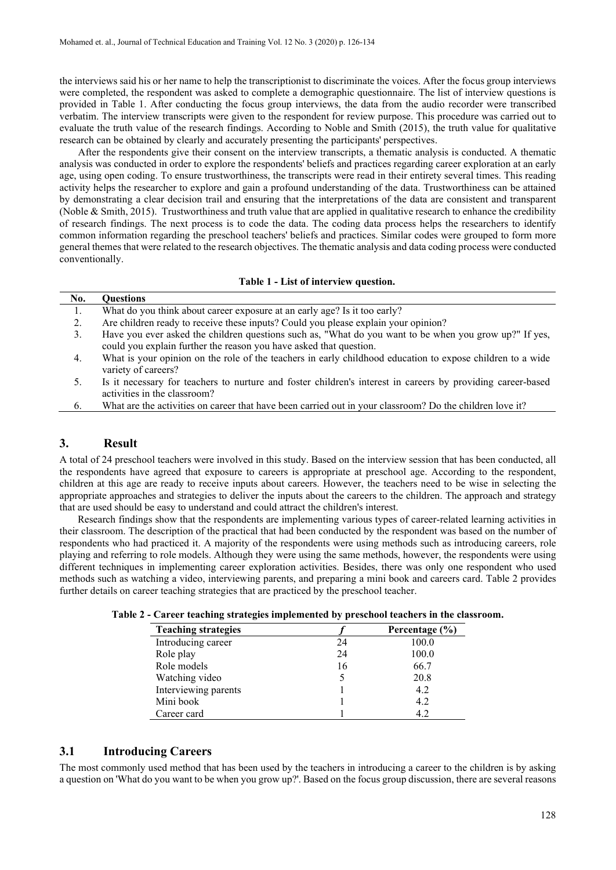the interviews said his or her name to help the transcriptionist to discriminate the voices. After the focus group interviews were completed, the respondent was asked to complete a demographic questionnaire. The list of interview questions is provided in Table 1. After conducting the focus group interviews, the data from the audio recorder were transcribed verbatim. The interview transcripts were given to the respondent for review purpose. This procedure was carried out to evaluate the truth value of the research findings. According to Noble and Smith (2015), the truth value for qualitative research can be obtained by clearly and accurately presenting the participants' perspectives.

After the respondents give their consent on the interview transcripts, a thematic analysis is conducted. A thematic analysis was conducted in order to explore the respondents' beliefs and practices regarding career exploration at an early age, using open coding. To ensure trustworthiness, the transcripts were read in their entirety several times. This reading activity helps the researcher to explore and gain a profound understanding of the data. Trustworthiness can be attained by demonstrating a clear decision trail and ensuring that the interpretations of the data are consistent and transparent (Noble & Smith, 2015). Trustworthiness and truth value that are applied in qualitative research to enhance the credibility of research findings. The next process is to code the data. The coding data process helps the researchers to identify common information regarding the preschool teachers' beliefs and practices. Similar codes were grouped to form more general themes that were related to the research objectives. The thematic analysis and data coding process were conducted conventionally.

#### **Table 1 - List of interview question.**

| No. | <b>Questions</b>                                                                                                                                                             |
|-----|------------------------------------------------------------------------------------------------------------------------------------------------------------------------------|
| 1.  | What do you think about career exposure at an early age? Is it too early?                                                                                                    |
| 2.  | Are children ready to receive these inputs? Could you please explain your opinion?                                                                                           |
| 3.  | Have you ever asked the children questions such as, "What do you want to be when you grow up?" If yes,<br>could you explain further the reason you have asked that question. |
| 4.  | What is your opinion on the role of the teachers in early childhood education to expose children to a wide<br>variety of careers?                                            |
| 5.  | Is it necessary for teachers to nurture and foster children's interest in careers by providing career-based<br>activities in the classroom?                                  |
| 6.  | What are the activities on career that have been carried out in your classroom? Do the children love it?                                                                     |
|     |                                                                                                                                                                              |

#### **3. Result**

A total of 24 preschool teachers were involved in this study. Based on the interview session that has been conducted, all the respondents have agreed that exposure to careers is appropriate at preschool age. According to the respondent, children at this age are ready to receive inputs about careers. However, the teachers need to be wise in selecting the appropriate approaches and strategies to deliver the inputs about the careers to the children. The approach and strategy that are used should be easy to understand and could attract the children's interest.

 Research findings show that the respondents are implementing various types of career-related learning activities in their classroom. The description of the practical that had been conducted by the respondent was based on the number of respondents who had practiced it. A majority of the respondents were using methods such as introducing careers, role playing and referring to role models. Although they were using the same methods, however, the respondents were using different techniques in implementing career exploration activities. Besides, there was only one respondent who used methods such as watching a video, interviewing parents, and preparing a mini book and careers card. Table 2 provides further details on career teaching strategies that are practiced by the preschool teacher.

| <b>Teaching strategies</b> |    | Percentage $(\% )$ |
|----------------------------|----|--------------------|
| Introducing career         | 24 | 100.0              |
| Role play                  | 24 | 100.0              |
| Role models                | 16 | 66.7               |
| Watching video             |    | 20.8               |
| Interviewing parents       |    | 4.2                |
| Mini book                  |    | 4.2                |
| Career card                |    |                    |

**Table 2 - Career teaching strategies implemented by preschool teachers in the classroom.**

## **3.1 Introducing Careers**

The most commonly used method that has been used by the teachers in introducing a career to the children is by asking a question on 'What do you want to be when you grow up?'. Based on the focus group discussion, there are several reasons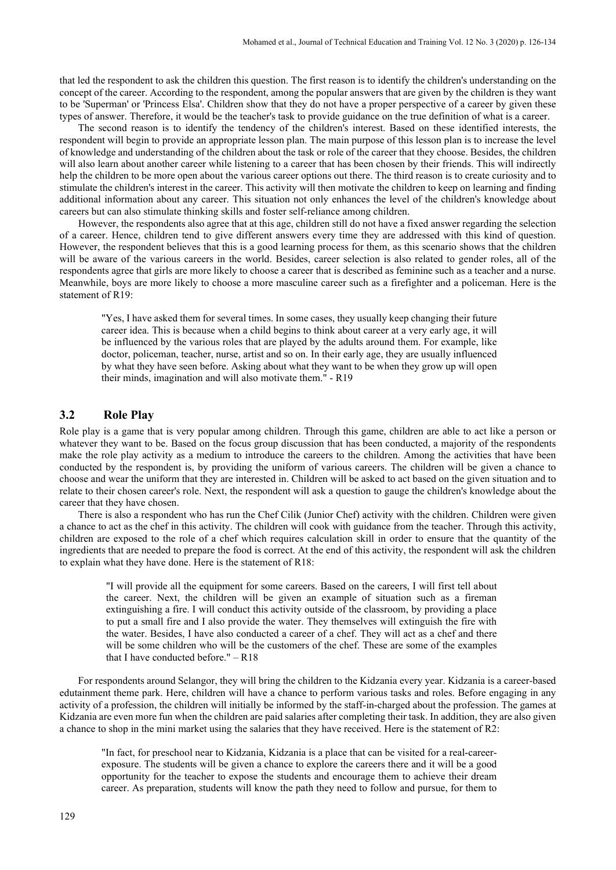that led the respondent to ask the children this question. The first reason is to identify the children's understanding on the concept of the career. According to the respondent, among the popular answers that are given by the children is they want to be 'Superman' or 'Princess Elsa'. Children show that they do not have a proper perspective of a career by given these types of answer. Therefore, it would be the teacher's task to provide guidance on the true definition of what is a career.

The second reason is to identify the tendency of the children's interest. Based on these identified interests, the respondent will begin to provide an appropriate lesson plan. The main purpose of this lesson plan is to increase the level of knowledge and understanding of the children about the task or role of the career that they choose. Besides, the children will also learn about another career while listening to a career that has been chosen by their friends. This will indirectly help the children to be more open about the various career options out there. The third reason is to create curiosity and to stimulate the children's interest in the career. This activity will then motivate the children to keep on learning and finding additional information about any career. This situation not only enhances the level of the children's knowledge about careers but can also stimulate thinking skills and foster self-reliance among children.

However, the respondents also agree that at this age, children still do not have a fixed answer regarding the selection of a career. Hence, children tend to give different answers every time they are addressed with this kind of question. However, the respondent believes that this is a good learning process for them, as this scenario shows that the children will be aware of the various careers in the world. Besides, career selection is also related to gender roles, all of the respondents agree that girls are more likely to choose a career that is described as feminine such as a teacher and a nurse. Meanwhile, boys are more likely to choose a more masculine career such as a firefighter and a policeman. Here is the statement of R19:

"Yes, I have asked them for several times. In some cases, they usually keep changing their future career idea. This is because when a child begins to think about career at a very early age, it will be influenced by the various roles that are played by the adults around them. For example, like doctor, policeman, teacher, nurse, artist and so on. In their early age, they are usually influenced by what they have seen before. Asking about what they want to be when they grow up will open their minds, imagination and will also motivate them." - R19

## **3.2 Role Play**

Role play is a game that is very popular among children. Through this game, children are able to act like a person or whatever they want to be. Based on the focus group discussion that has been conducted, a majority of the respondents make the role play activity as a medium to introduce the careers to the children. Among the activities that have been conducted by the respondent is, by providing the uniform of various careers. The children will be given a chance to choose and wear the uniform that they are interested in. Children will be asked to act based on the given situation and to relate to their chosen career's role. Next, the respondent will ask a question to gauge the children's knowledge about the career that they have chosen.

There is also a respondent who has run the Chef Cilik (Junior Chef) activity with the children. Children were given a chance to act as the chef in this activity. The children will cook with guidance from the teacher. Through this activity, children are exposed to the role of a chef which requires calculation skill in order to ensure that the quantity of the ingredients that are needed to prepare the food is correct. At the end of this activity, the respondent will ask the children to explain what they have done. Here is the statement of R18:

"I will provide all the equipment for some careers. Based on the careers, I will first tell about the career. Next, the children will be given an example of situation such as a fireman extinguishing a fire. I will conduct this activity outside of the classroom, by providing a place to put a small fire and I also provide the water. They themselves will extinguish the fire with the water. Besides, I have also conducted a career of a chef. They will act as a chef and there will be some children who will be the customers of the chef. These are some of the examples that I have conducted before." – R18

For respondents around Selangor, they will bring the children to the Kidzania every year. Kidzania is a career-based edutainment theme park. Here, children will have a chance to perform various tasks and roles. Before engaging in any activity of a profession, the children will initially be informed by the staff-in-charged about the profession. The games at Kidzania are even more fun when the children are paid salaries after completing their task. In addition, they are also given a chance to shop in the mini market using the salaries that they have received. Here is the statement of R2:

"In fact, for preschool near to Kidzania, Kidzania is a place that can be visited for a real-careerexposure. The students will be given a chance to explore the careers there and it will be a good opportunity for the teacher to expose the students and encourage them to achieve their dream career. As preparation, students will know the path they need to follow and pursue, for them to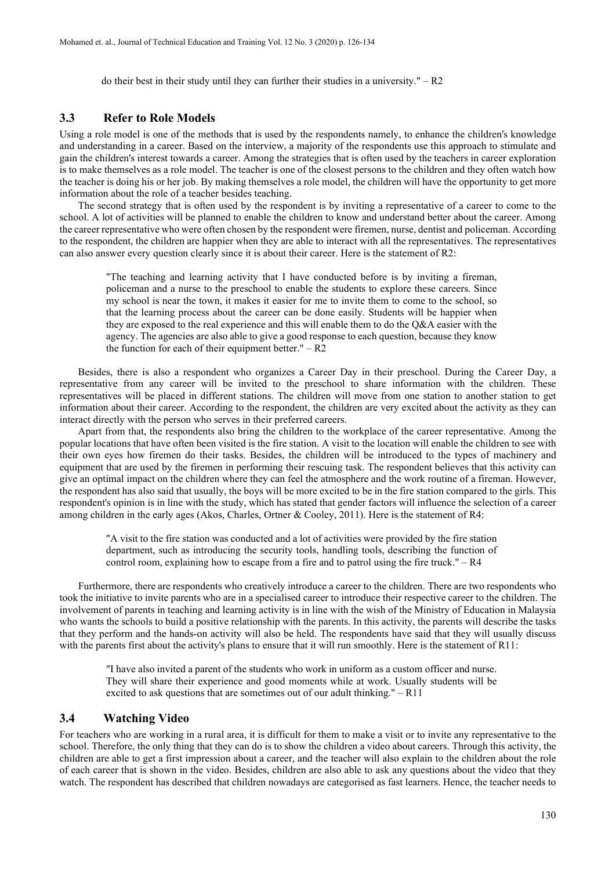do their best in their study until they can further their studies in a university."  $- R2$ 

#### **3.3 Refer to Role Models**

Using a role model is one of the methods that is used by the respondents namely, to enhance the children's knowledge and understanding in a career. Based on the interview, a majority of the respondents use this approach to stimulate and gain the children's interest towards a career. Among the strategies that is often used by the teachers in career exploration is to make themselves as a role model. The teacher is one of the closest persons to the children and they often watch how the teacher is doing his or her job. By making themselves a role model, the children will have the opportunity to get more information about the role of a teacher besides teaching.

The second strategy that is often used by the respondent is by inviting a representative of a career to come to the school. A lot of activities will be planned to enable the children to know and understand better about the career. Among the career representative who were often chosen by the respondent were firemen, nurse, dentist and policeman. According to the respondent, the children are happier when they are able to interact with all the representatives. The representatives can also answer every question clearly since it is about their career. Here is the statement of R2:

"The teaching and learning activity that I have conducted before is by inviting a fireman, policeman and a nurse to the preschool to enable the students to explore these careers. Since my school is near the town, it makes it easier for me to invite them to come to the school, so that the learning process about the career can be done easily. Students will be happier when they are exposed to the real experience and this will enable them to do the Q&A easier with the agency. The agencies are also able to give a good response to each question, because they know the function for each of their equipment better."  $- R2$ 

Besides, there is also a respondent who organizes a Career Day in their preschool. During the Career Day, a representative from any career will be invited to the preschool to share information with the children. These representatives will be placed in different stations. The children will move from one station to another station to get information about their career. According to the respondent, the children are very excited about the activity as they can interact directly with the person who serves in their preferred careers.

Apart from that, the respondents also bring the children to the workplace of the career representative. Among the popular locations that have often been visited is the fire station. A visit to the location will enable the children to see with their own eyes how firemen do their tasks. Besides, the children will be introduced to the types of machinery and equipment that are used by the firemen in performing their rescuing task. The respondent believes that this activity can give an optimal impact on the children where they can feel the atmosphere and the work routine of a fireman. However, the respondent has also said that usually, the boys will be more excited to be in the fire station compared to the girls. This respondent's opinion is in line with the study, which has stated that gender factors will influence the selection of a career among children in the early ages (Akos, Charles, Ortner & Cooley, 2011). Here is the statement of R4:

"A visit to the fire station was conducted and a lot of activities were provided by the fire station department, such as introducing the security tools, handling tools, describing the function of control room, explaining how to escape from a fire and to patrol using the fire truck."  $-$  R4

Furthermore, there are respondents who creatively introduce a career to the children. There are two respondents who took the initiative to invite parents who are in a specialised career to introduce their respective career to the children. The involvement of parents in teaching and learning activity is in line with the wish of the Ministry of Education in Malaysia who wants the schools to build a positive relationship with the parents. In this activity, the parents will describe the tasks that they perform and the hands-on activity will also be held. The respondents have said that they will usually discuss with the parents first about the activity's plans to ensure that it will run smoothly. Here is the statement of R11:

"I have also invited a parent of the students who work in uniform as a custom officer and nurse. They will share their experience and good moments while at work. Usually students will be excited to ask questions that are sometimes out of our adult thinking." – R11

## **3.4 Watching Video**

For teachers who are working in a rural area, it is difficult for them to make a visit or to invite any representative to the school. Therefore, the only thing that they can do is to show the children a video about careers. Through this activity, the children are able to get a first impression about a career, and the teacher will also explain to the children about the role of each career that is shown in the video. Besides, children are also able to ask any questions about the video that they watch. The respondent has described that children nowadays are categorised as fast learners. Hence, the teacher needs to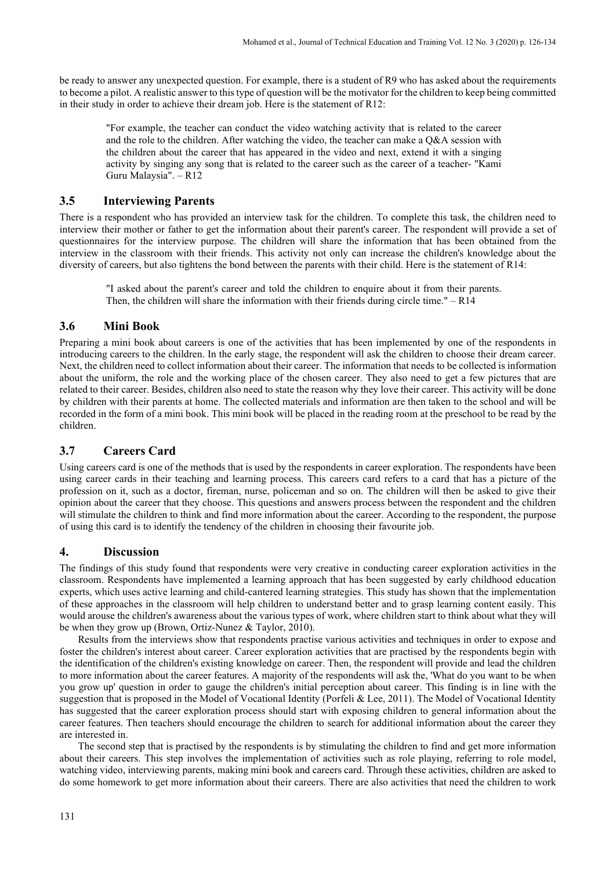be ready to answer any unexpected question. For example, there is a student of R9 who has asked about the requirements to become a pilot. A realistic answer to this type of question will be the motivator for the children to keep being committed in their study in order to achieve their dream job. Here is the statement of R12:

"For example, the teacher can conduct the video watching activity that is related to the career and the role to the children. After watching the video, the teacher can make a Q&A session with the children about the career that has appeared in the video and next, extend it with a singing activity by singing any song that is related to the career such as the career of a teacher- "Kami Guru Malaysia". – R12

## **3.5 Interviewing Parents**

There is a respondent who has provided an interview task for the children. To complete this task, the children need to interview their mother or father to get the information about their parent's career. The respondent will provide a set of questionnaires for the interview purpose. The children will share the information that has been obtained from the interview in the classroom with their friends. This activity not only can increase the children's knowledge about the diversity of careers, but also tightens the bond between the parents with their child. Here is the statement of R14:

"I asked about the parent's career and told the children to enquire about it from their parents. Then, the children will share the information with their friends during circle time." $- R14$ 

#### **3.6 Mini Book**

Preparing a mini book about careers is one of the activities that has been implemented by one of the respondents in introducing careers to the children. In the early stage, the respondent will ask the children to choose their dream career. Next, the children need to collect information about their career. The information that needs to be collected is information about the uniform, the role and the working place of the chosen career. They also need to get a few pictures that are related to their career. Besides, children also need to state the reason why they love their career. This activity will be done by children with their parents at home. The collected materials and information are then taken to the school and will be recorded in the form of a mini book. This mini book will be placed in the reading room at the preschool to be read by the children.

## **3.7 Careers Card**

Using careers card is one of the methods that is used by the respondents in career exploration. The respondents have been using career cards in their teaching and learning process. This careers card refers to a card that has a picture of the profession on it, such as a doctor, fireman, nurse, policeman and so on. The children will then be asked to give their opinion about the career that they choose. This questions and answers process between the respondent and the children will stimulate the children to think and find more information about the career. According to the respondent, the purpose of using this card is to identify the tendency of the children in choosing their favourite job.

#### **4. Discussion**

The findings of this study found that respondents were very creative in conducting career exploration activities in the classroom. Respondents have implemented a learning approach that has been suggested by early childhood education experts, which uses active learning and child-cantered learning strategies. This study has shown that the implementation of these approaches in the classroom will help children to understand better and to grasp learning content easily. This would arouse the children's awareness about the various types of work, where children start to think about what they will be when they grow up (Brown, Ortiz-Nunez & Taylor, 2010).

Results from the interviews show that respondents practise various activities and techniques in order to expose and foster the children's interest about career. Career exploration activities that are practised by the respondents begin with the identification of the children's existing knowledge on career. Then, the respondent will provide and lead the children to more information about the career features. A majority of the respondents will ask the, 'What do you want to be when you grow up' question in order to gauge the children's initial perception about career. This finding is in line with the suggestion that is proposed in the Model of Vocational Identity (Porfeli & Lee, 2011). The Model of Vocational Identity has suggested that the career exploration process should start with exposing children to general information about the career features. Then teachers should encourage the children to search for additional information about the career they are interested in.

The second step that is practised by the respondents is by stimulating the children to find and get more information about their careers. This step involves the implementation of activities such as role playing, referring to role model, watching video, interviewing parents, making mini book and careers card. Through these activities, children are asked to do some homework to get more information about their careers. There are also activities that need the children to work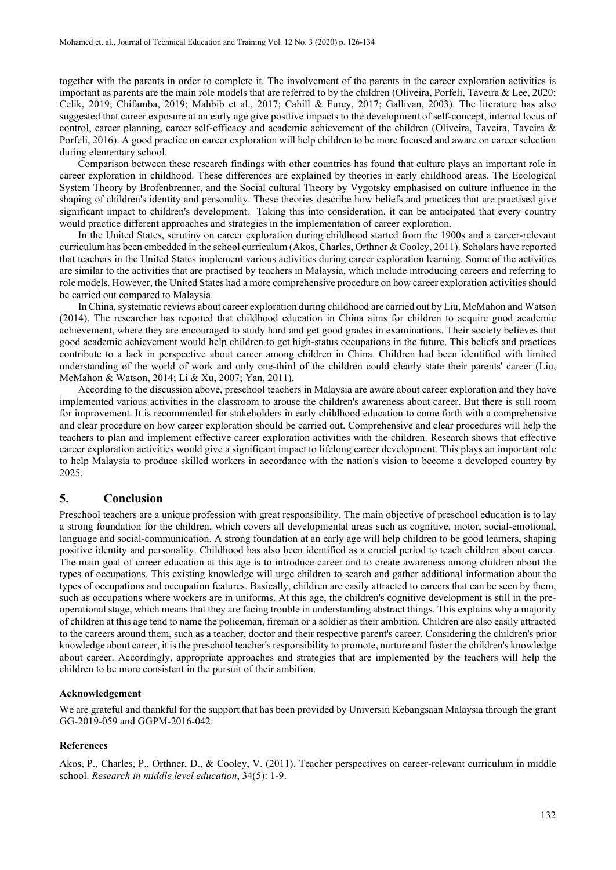together with the parents in order to complete it. The involvement of the parents in the career exploration activities is important as parents are the main role models that are referred to by the children (Oliveira, Porfeli, Taveira & Lee, 2020; Celik, 2019; Chifamba, 2019; Mahbib et al., 2017; Cahill & Furey, 2017; Gallivan, 2003). The literature has also suggested that career exposure at an early age give positive impacts to the development of self-concept, internal locus of control, career planning, career self-efficacy and academic achievement of the children (Oliveira, Taveira, Taveira & Porfeli, 2016). A good practice on career exploration will help children to be more focused and aware on career selection during elementary school.

Comparison between these research findings with other countries has found that culture plays an important role in career exploration in childhood. These differences are explained by theories in early childhood areas. The Ecological System Theory by Brofenbrenner, and the Social cultural Theory by Vygotsky emphasised on culture influence in the shaping of children's identity and personality. These theories describe how beliefs and practices that are practised give significant impact to children's development. Taking this into consideration, it can be anticipated that every country would practice different approaches and strategies in the implementation of career exploration.

In the United States, scrutiny on career exploration during childhood started from the 1900s and a career-relevant curriculum has been embedded in the school curriculum (Akos, Charles, Orthner & Cooley, 2011). Scholars have reported that teachers in the United States implement various activities during career exploration learning. Some of the activities are similar to the activities that are practised by teachers in Malaysia, which include introducing careers and referring to role models. However, the United States had a more comprehensive procedure on how career exploration activities should be carried out compared to Malaysia.

In China, systematic reviews about career exploration during childhood are carried out by Liu, McMahon and Watson (2014). The researcher has reported that childhood education in China aims for children to acquire good academic achievement, where they are encouraged to study hard and get good grades in examinations. Their society believes that good academic achievement would help children to get high-status occupations in the future. This beliefs and practices contribute to a lack in perspective about career among children in China. Children had been identified with limited understanding of the world of work and only one-third of the children could clearly state their parents' career (Liu, McMahon & Watson, 2014; Li & Xu, 2007; Yan, 2011).

According to the discussion above, preschool teachers in Malaysia are aware about career exploration and they have implemented various activities in the classroom to arouse the children's awareness about career. But there is still room for improvement. It is recommended for stakeholders in early childhood education to come forth with a comprehensive and clear procedure on how career exploration should be carried out. Comprehensive and clear procedures will help the teachers to plan and implement effective career exploration activities with the children. Research shows that effective career exploration activities would give a significant impact to lifelong career development. This plays an important role to help Malaysia to produce skilled workers in accordance with the nation's vision to become a developed country by 2025.

## **5. Conclusion**

Preschool teachers are a unique profession with great responsibility. The main objective of preschool education is to lay a strong foundation for the children, which covers all developmental areas such as cognitive, motor, social-emotional, language and social-communication. A strong foundation at an early age will help children to be good learners, shaping positive identity and personality. Childhood has also been identified as a crucial period to teach children about career. The main goal of career education at this age is to introduce career and to create awareness among children about the types of occupations. This existing knowledge will urge children to search and gather additional information about the types of occupations and occupation features. Basically, children are easily attracted to careers that can be seen by them, such as occupations where workers are in uniforms. At this age, the children's cognitive development is still in the preoperational stage, which means that they are facing trouble in understanding abstract things. This explains why a majority of children at this age tend to name the policeman, fireman or a soldier as their ambition. Children are also easily attracted to the careers around them, such as a teacher, doctor and their respective parent's career. Considering the children's prior knowledge about career, it is the preschool teacher's responsibility to promote, nurture and foster the children's knowledge about career. Accordingly, appropriate approaches and strategies that are implemented by the teachers will help the children to be more consistent in the pursuit of their ambition.

#### **Acknowledgement**

We are grateful and thankful for the support that has been provided by Universiti Kebangsaan Malaysia through the grant GG-2019-059 and GGPM-2016-042.

#### **References**

Akos, P., Charles, P., Orthner, D., & Cooley, V. (2011). Teacher perspectives on career-relevant curriculum in middle school. *Research in middle level education*, 34(5): 1-9.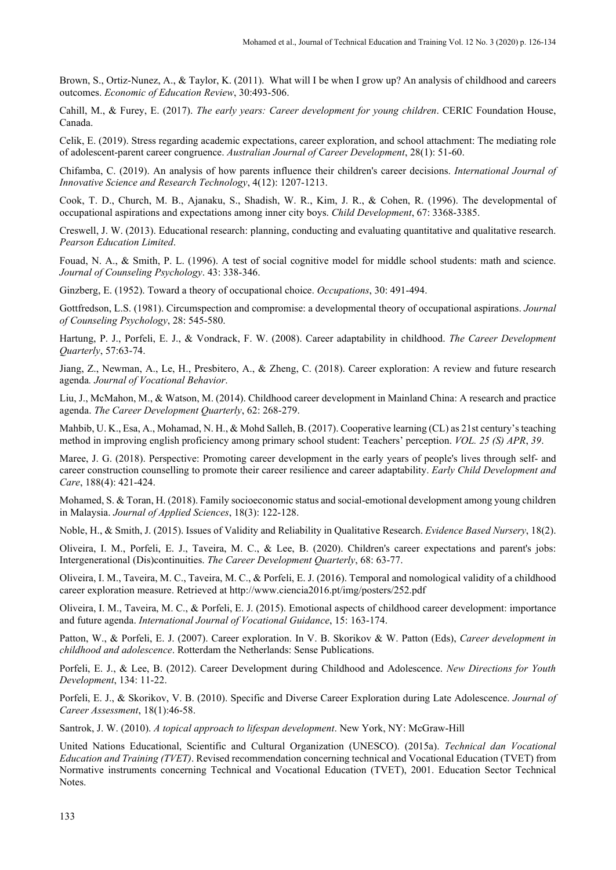Brown, S., Ortiz-Nunez, A., & Taylor, K. (2011). What will I be when I grow up? An analysis of childhood and careers outcomes. *Economic of Education Review*, 30:493-506.

Cahill, M., & Furey, E. (2017). *The early years: Career development for young children*. CERIC Foundation House, Canada.

Celik, E. (2019). Stress regarding academic expectations, career exploration, and school attachment: The mediating role of adolescent-parent career congruence. *Australian Journal of Career Development*, 28(1): 51-60.

Chifamba, C. (2019). An analysis of how parents influence their children's career decisions. *International Journal of Innovative Science and Research Technology*, 4(12): 1207-1213.

Cook, T. D., Church, M. B., Ajanaku, S., Shadish, W. R., Kim, J. R., & Cohen, R. (1996). The developmental of occupational aspirations and expectations among inner city boys. *Child Development*, 67: 3368-3385.

Creswell, J. W. (2013). Educational research: planning, conducting and evaluating quantitative and qualitative research. *Pearson Education Limited*.

Fouad, N. A., & Smith, P. L. (1996). A test of social cognitive model for middle school students: math and science. *Journal of Counseling Psychology*. 43: 338-346.

Ginzberg, E. (1952). Toward a theory of occupational choice. *Occupations*, 30: 491-494.

Gottfredson, L.S. (1981). Circumspection and compromise: a developmental theory of occupational aspirations. *Journal of Counseling Psychology*, 28: 545-580.

Hartung, P. J., Porfeli, E. J., & Vondrack, F. W. (2008). Career adaptability in childhood. *The Career Development Quarterly*, 57:63-74.

Jiang, Z., Newman, A., Le, H., Presbitero, A., & Zheng, C. (2018). Career exploration: A review and future research agenda*. Journal of Vocational Behavior*.

Liu, J., McMahon, M., & Watson, M. (2014). Childhood career development in Mainland China: A research and practice agenda. *The Career Development Quarterly*, 62: 268-279.

Mahbib, U. K., Esa, A., Mohamad, N. H., & Mohd Salleh, B. (2017). Cooperative learning (CL) as 21st century's teaching method in improving english proficiency among primary school student: Teachers' perception. *VOL. 25 (S) APR*, *39*.

Maree, J. G. (2018). Perspective: Promoting career development in the early years of people's lives through self- and career construction counselling to promote their career resilience and career adaptability. *Early Child Development and Care*, 188(4): 421-424.

Mohamed, S. & Toran, H. (2018). Family socioeconomic status and social-emotional development among young children in Malaysia. *Journal of Applied Sciences*, 18(3): 122-128.

Noble, H., & Smith, J. (2015). Issues of Validity and Reliability in Qualitative Research. *Evidence Based Nursery*, 18(2).

Oliveira, I. M., Porfeli, E. J., Taveira, M. C., & Lee, B. (2020). Children's career expectations and parent's jobs: Intergenerational (Dis)continuities. *The Career Development Quarterly*, 68: 63-77.

Oliveira, I. M., Taveira, M. C., Taveira, M. C., & Porfeli, E. J. (2016). Temporal and nomological validity of a childhood career exploration measure. Retrieved at http://www.ciencia2016.pt/img/posters/252.pdf

Oliveira, I. M., Taveira, M. C., & Porfeli, E. J. (2015). Emotional aspects of childhood career development: importance and future agenda. *International Journal of Vocational Guidance*, 15: 163-174.

Patton, W., & Porfeli, E. J. (2007). Career exploration. In V. B. Skorikov & W. Patton (Eds), *Career development in childhood and adolescence*. Rotterdam the Netherlands: Sense Publications.

Porfeli, E. J., & Lee, B. (2012). Career Development during Childhood and Adolescence. *New Directions for Youth Development*, 134: 11-22.

Porfeli, E. J., & Skorikov, V. B. (2010). Specific and Diverse Career Exploration during Late Adolescence. *Journal of Career Assessment*, 18(1):46-58.

Santrok, J. W. (2010). *A topical approach to lifespan development*. New York, NY: McGraw-Hill

United Nations Educational, Scientific and Cultural Organization (UNESCO). (2015a). *Technical dan Vocational Education and Training (TVET)*. Revised recommendation concerning technical and Vocational Education (TVET) from Normative instruments concerning Technical and Vocational Education (TVET), 2001. Education Sector Technical Notes.